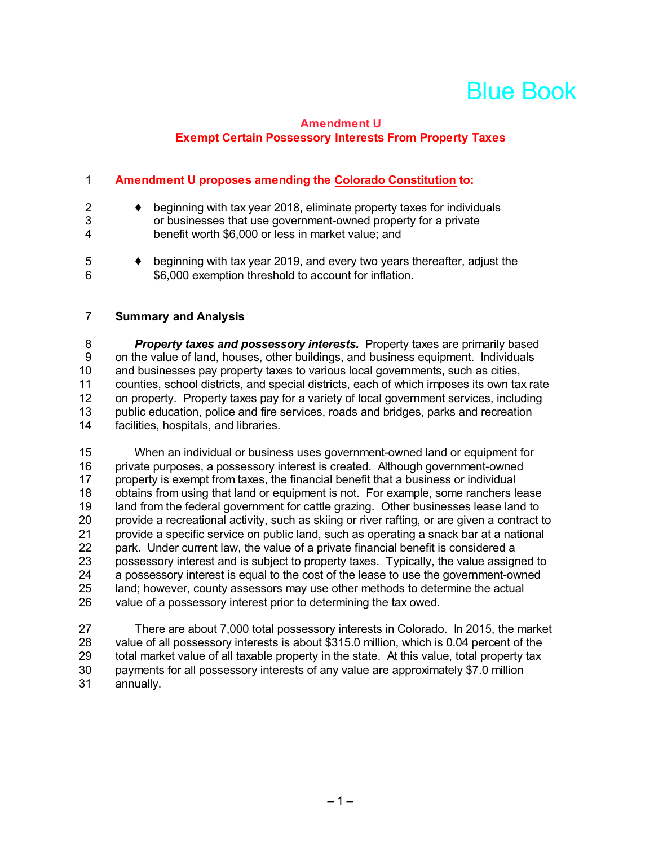# Blue Book

### **Amendment U Exempt Certain Possessory Interests From Property Taxes**

### 1 **Amendment U proposes amending the Colorado Constitution to:**

6 \$6,000 exemption threshold to account for inflation.

| 2<br>3<br>4 | beginning with tax year 2018, eliminate property taxes for individuals<br>or businesses that use government-owned property for a private<br>benefit worth \$6,000 or less in market value; and |
|-------------|------------------------------------------------------------------------------------------------------------------------------------------------------------------------------------------------|
| .5          | beginning with tax year 2019, and every two years thereafter, adjust the                                                                                                                       |

#### 7 **Summary and Analysis**

8 *Property taxes and possessory interests.* Property taxes are primarily based 9 on the value of land, houses, other buildings, and business equipment. Individuals 10 and businesses pay property taxes to various local governments, such as cities, 11 counties, school districts, and special districts, each of which imposes its own tax rate 12 on property. Property taxes pay for a variety of local government services, including<br>13 public education, police and fire services, roads and bridges, parks and recreation 13 public education, police and fire services, roads and bridges, parks and recreation<br>14 facilities, hospitals, and libraries. facilities, hospitals, and libraries.

15 When an individual or business uses government-owned land or equipment for 16 private purposes, a possessory interest is created. Although government-owned 17 property is exempt from taxes, the financial benefit that a business or individual<br>18 obtains from using that land or equipment is not. For example, some ranchers le 18 obtains from using that land or equipment is not. For example, some ranchers lease<br>19 land from the federal government for cattle grazing. Other businesses lease land to land from the federal government for cattle grazing. Other businesses lease land to 20 provide a recreational activity, such as skiing or river rafting, or are given a contract to 21 provide a specific service on public land, such as operating a snack bar at a national 22 park. Under current law, the value of a private financial benefit is considered a 23 possessory interest and is subject to property taxes. Typically, the value assigned to 24 a possessory interest is equal to the cost of the lease to use the government-owned<br>25 land; however, county assessors may use other methods to determine the actual land; however, county assessors may use other methods to determine the actual 26 value of a possessory interest prior to determining the tax owed.

27 There are about 7,000 total possessory interests in Colorado. In 2015, the market 28 value of all possessory interests is about \$315.0 million. which is 0.04 percent of the value of all possessory interests is about \$315.0 million, which is 0.04 percent of the 29 total market value of all taxable property in the state. At this value, total property tax 30 payments for all possessory interests of any value are approximately \$7.0 million 31 annually.